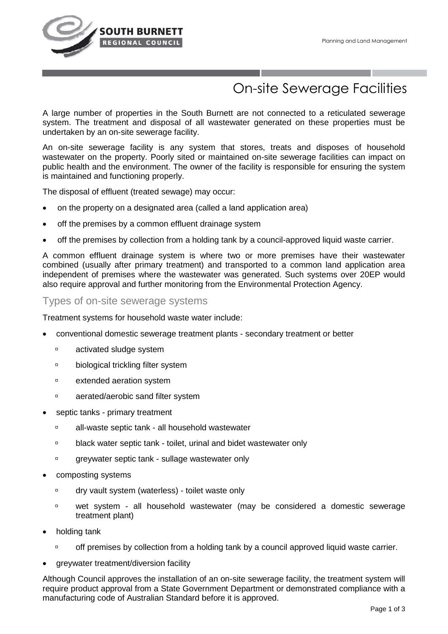

# On-site Sewerage Facilities

A large number of properties in the South Burnett are not connected to a reticulated sewerage system. The treatment and disposal of all wastewater generated on these properties must be undertaken by an on-site sewerage facility.

An on-site sewerage facility is any system that stores, treats and disposes of household wastewater on the property. Poorly sited or maintained on-site sewerage facilities can impact on public health and the environment. The owner of the facility is responsible for ensuring the system is maintained and functioning properly.

The disposal of effluent (treated sewage) may occur:

- on the property on a designated area (called a land application area)
- off the premises by a common effluent drainage system
- off the premises by collection from a holding tank by a council-approved liquid waste carrier.

A common effluent drainage system is where two or more premises have their wastewater combined (usually after primary treatment) and transported to a common land application area independent of premises where the wastewater was generated. Such systems over 20EP would also require approval and further monitoring from the Environmental Protection Agency.

## Types of on-site sewerage systems

Treatment systems for household waste water include:

- conventional domestic sewerage treatment plants secondary treatment or better
	- **activated sludge system**
	- **biological trickling filter system**
	- **Extended aeration system**
	- aerated/aerobic sand filter system
- septic tanks primary treatment
	- all-waste septic tank all household wastewater
	- black water septic tank toilet, urinal and bidet wastewater only
	- greywater septic tank sullage wastewater only
- composting systems
	- dry vault system (waterless) toilet waste only
	- wet system all household wastewater (may be considered a domestic sewerage treatment plant)
- holding tank
	- □ off premises by collection from a holding tank by a council approved liquid waste carrier.
- greywater treatment/diversion facility

Although Council approves the installation of an on-site sewerage facility, the treatment system will require product approval from a State Government Department or demonstrated compliance with a manufacturing code of Australian Standard before it is approved.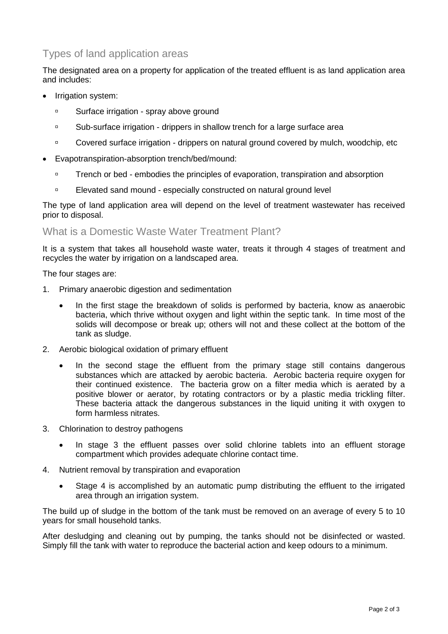# Types of land application areas

The designated area on a property for application of the treated effluent is as land application area and includes:

- Irrigation system:
	- **Surface irrigation spray above ground**
	- Sub-surface irrigation drippers in shallow trench for a large surface area
	- □ Covered surface irrigation drippers on natural ground covered by mulch, woodchip, etc
- Evapotranspiration-absorption trench/bed/mound:
	- Trench or bed embodies the principles of evaporation, transpiration and absorption
	- Elevated sand mound especially constructed on natural ground level

The type of land application area will depend on the level of treatment wastewater has received prior to disposal.

#### What is a Domestic Waste Water Treatment Plant?

It is a system that takes all household waste water, treats it through 4 stages of treatment and recycles the water by irrigation on a landscaped area.

The four stages are:

- 1. Primary anaerobic digestion and sedimentation
	- In the first stage the breakdown of solids is performed by bacteria, know as anaerobic bacteria, which thrive without oxygen and light within the septic tank. In time most of the solids will decompose or break up; others will not and these collect at the bottom of the tank as sludge.
- 2. Aerobic biological oxidation of primary effluent
	- In the second stage the effluent from the primary stage still contains dangerous substances which are attacked by aerobic bacteria. Aerobic bacteria require oxygen for their continued existence. The bacteria grow on a filter media which is aerated by a positive blower or aerator, by rotating contractors or by a plastic media trickling filter. These bacteria attack the dangerous substances in the liquid uniting it with oxygen to form harmless nitrates.
- 3. Chlorination to destroy pathogens
	- In stage 3 the effluent passes over solid chlorine tablets into an effluent storage compartment which provides adequate chlorine contact time.
- 4. Nutrient removal by transpiration and evaporation
	- Stage 4 is accomplished by an automatic pump distributing the effluent to the irrigated area through an irrigation system.

The build up of sludge in the bottom of the tank must be removed on an average of every 5 to 10 years for small household tanks.

After desludging and cleaning out by pumping, the tanks should not be disinfected or wasted. Simply fill the tank with water to reproduce the bacterial action and keep odours to a minimum.